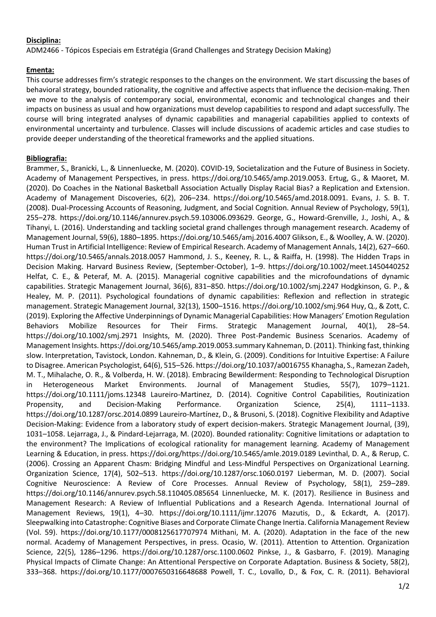## **Disciplina:**

ADM2466 - Tópicos Especiais em Estratégia (Grand Challenges and Strategy Decision Making)

## **Ementa:**

This course addresses firm's strategic responses to the changes on the environment. We start discussing the bases of behavioral strategy, bounded rationality, the cognitive and affective aspects that influence the decision-making. Then we move to the analysis of contemporary social, environmental, economic and technological changes and their impacts on business as usual and how organizations must develop capabilities to respond and adapt successfully. The course will bring integrated analyses of dynamic capabilities and managerial capabilities applied to contexts of environmental uncertainty and turbulence. Classes will include discussions of academic articles and case studies to provide deeper understanding of the theoretical frameworks and the applied situations.

## **Bibliografia:**

Brammer, S., Branicki, L., & Linnenluecke, M. (2020). COVID-19, Societalization and the Future of Business in Society. Academy of Management Perspectives, in press. https://doi.org/10.5465/amp.2019.0053. Ertug, G., & Maoret, M. (2020). Do Coaches in the National Basketball Association Actually Display Racial Bias? a Replication and Extension. Academy of Management Discoveries, 6(2), 206–234. https://doi.org/10.5465/amd.2018.0091. Evans, J. S. B. T. (2008). Dual-Processing Accounts of Reasoning, Judgment, and Social Cognition. Annual Review of Psychology, 59(1), 255–278. https://doi.org/10.1146/annurev.psych.59.103006.093629. George, G., Howard-Grenville, J., Joshi, A., & Tihanyi, L. (2016). Understanding and tackling societal grand challenges through management research. Academy of Management Journal, 59(6), 1880–1895. https://doi.org/10.5465/amj.2016.4007 Glikson, E., & Woolley, A. W. (2020). Human Trust in Artificial Intelligence: Review of Empirical Research. Academy of Management Annals, 14(2), 627–660. https://doi.org/10.5465/annals.2018.0057 Hammond, J. S., Keeney, R. L., & Raiffa, H. (1998). The Hidden Traps in Decision Making. Harvard Business Review, (September-October), 1–9. https://doi.org/10.1002/meet.1450440252 Helfat, C. E., & Peteraf, M. A. (2015). Managerial cognitive capabilities and the microfoundations of dynamic capabilities. Strategic Management Journal, 36(6), 831–850. https://doi.org/10.1002/smj.2247 Hodgkinson, G. P., & Healey, M. P. (2011). Psychological foundations of dynamic capabilities: Reflexion and reflection in strategic management. Strategic Management Journal, 32(13), 1500–1516. https://doi.org/10.1002/smj.964 Huy, Q., & Zott, C. (2019). Exploring the Affective Underpinnings of Dynamic Managerial Capabilities: How Managers' Emotion Regulation Behaviors Mobilize Resources for Their Firms. Strategic Management Journal, 40(1), 28–54. https://doi.org/10.1002/smj.2971 Insights, M. (2020). Three Post-Pandemic Business Scenarios. Academy of Management Insights. https://doi.org/10.5465/amp.2019.0053.summary Kahneman, D. (2011). Thinking fast, thinking slow. Interpretation, Tavistock, London. Kahneman, D., & Klein, G. (2009). Conditions for Intuitive Expertise: A Failure to Disagree. American Psychologist, 64(6), 515–526. https://doi.org/10.1037/a0016755 Khanagha, S., Ramezan Zadeh, M. T., Mihalache, O. R., & Volberda, H. W. (2018). Embracing Bewilderment: Responding to Technological Disruption in Heterogeneous Market Environments. Journal of Management Studies, 55(7), 1079–1121. https://doi.org/10.1111/joms.12348 Laureiro-Martinez, D. (2014). Cognitive Control Capabilities, Routinization Propensity, and Decision-Making Performance. Organization Science, 25(4), 1111–1133. https://doi.org/10.1287/orsc.2014.0899 Laureiro‐Martínez, D., & Brusoni, S. (2018). Cognitive Flexibility and Adaptive Decision-Making: Evidence from a laboratory study of expert decision-makers. Strategic Management Journal, (39), 1031–1058. Lejarraga, J., & Pindard-Lejarraga, M. (2020). Bounded rationality: Cognitive limitations or adaptation to the environment? The Implications of ecological rationality for management learning. Academy of Management Learning & Education, in press. https://doi.org/https://doi.org/10.5465/amle.2019.0189 Levinthal, D. A., & Rerup, C. (2006). Crossing an Apparent Chasm: Bridging Mindful and Less-Mindful Perspectives on Organizational Learning. Organization Science, 17(4), 502–513. https://doi.org/10.1287/orsc.1060.0197 Lieberman, M. D. (2007). Social Cognitive Neuroscience: A Review of Core Processes. Annual Review of Psychology, 58(1), 259–289. https://doi.org/10.1146/annurev.psych.58.110405.085654 Linnenluecke, M. K. (2017). Resilience in Business and Management Research: A Review of Influential Publications and a Research Agenda. International Journal of Management Reviews, 19(1), 4–30. https://doi.org/10.1111/ijmr.12076 Mazutis, D., & Eckardt, A. (2017). Sleepwalking into Catastrophe: Cognitive Biases and Corporate Climate Change Inertia. California Management Review (Vol. 59). https://doi.org/10.1177/0008125617707974 Mithani, M. A. (2020). Adaptation in the face of the new normal. Academy of Management Perspectives, in press. Ocasio, W. (2011). Attention to Attention. Organization Science, 22(5), 1286–1296. https://doi.org/10.1287/orsc.1100.0602 Pinkse, J., & Gasbarro, F. (2019). Managing Physical Impacts of Climate Change: An Attentional Perspective on Corporate Adaptation. Business & Society, 58(2), 333–368. https://doi.org/10.1177/0007650316648688 Powell, T. C., Lovallo, D., & Fox, C. R. (2011). Behavioral